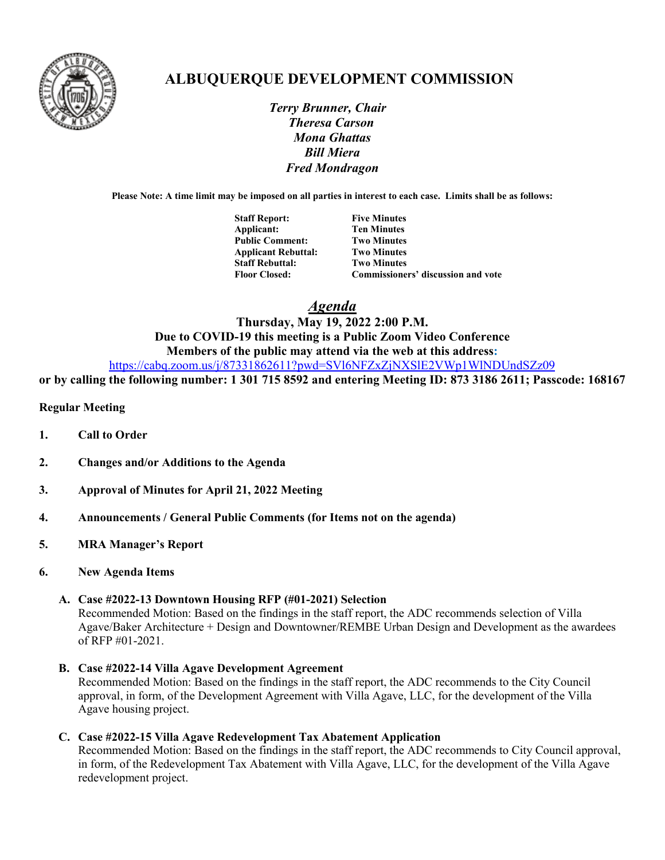

# **ALBUQUERQUE DEVELOPMENT COMMISSION**

 *Terry Brunner, Chair Theresa Carson Mona Ghattas Bill Miera Fred Mondragon*

**Please Note: A time limit may be imposed on all parties in interest to each case. Limits shall be as follows:**

| <b>Staff Report:</b>       | <b>Five Minutes</b>                |
|----------------------------|------------------------------------|
| Applicant:                 | <b>Ten Minutes</b>                 |
| <b>Public Comment:</b>     | <b>Two Minutes</b>                 |
| <b>Applicant Rebuttal:</b> | <b>Two Minutes</b>                 |
| <b>Staff Rebuttal:</b>     | <b>Two Minutes</b>                 |
| <b>Floor Closed:</b>       | Commissioners' discussion and vote |

*Agenda*

## **Thursday, May 19, 2022 2:00 P.M. Due to COVID-19 this meeting is a Public Zoom Video Conference Members of the public may attend via the web at this address:**

<https://cabq.zoom.us/j/87331862611?pwd=SVl6NFZxZjNXSlE2VWp1WlNDUndSZz09>

**or by calling the following number: 1 301 715 8592 and entering Meeting ID: 873 3186 2611; Passcode: 168167**

## **Regular Meeting**

- **1. Call to Order**
- **2. Changes and/or Additions to the Agenda**
- **3. Approval of Minutes for April 21, 2022 Meeting**
- **4. Announcements / General Public Comments (for Items not on the agenda)**
- **5. MRA Manager's Report**
- **6. New Agenda Items**

## **A. Case #2022-13 Downtown Housing RFP (#01-2021) Selection**

Recommended Motion: Based on the findings in the staff report, the ADC recommends selection of Villa Agave/Baker Architecture + Design and Downtowner/REMBE Urban Design and Development as the awardees of RFP #01-2021.

**B. Case #2022-14 Villa Agave Development Agreement**  Recommended Motion: Based on the findings in the staff report, the ADC recommends to the City Council approval, in form, of the Development Agreement with Villa Agave, LLC, for the development of the Villa Agave housing project.

## **C. Case #2022-15 Villa Agave Redevelopment Tax Abatement Application**

Recommended Motion: Based on the findings in the staff report, the ADC recommends to City Council approval, in form, of the Redevelopment Tax Abatement with Villa Agave, LLC, for the development of the Villa Agave redevelopment project.